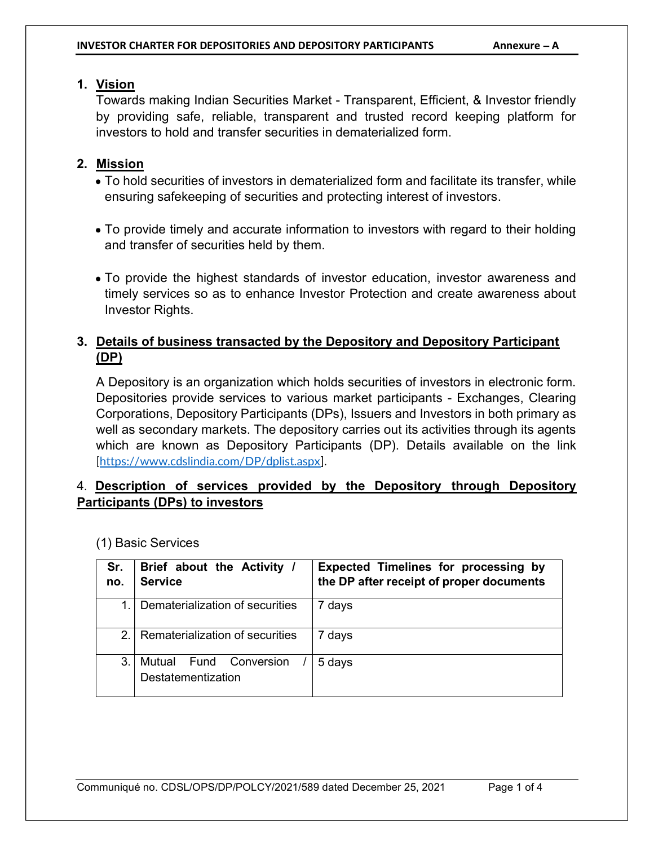#### 1. Vision

Towards making Indian Securities Market - Transparent, Efficient, & Investor friendly by providing safe, reliable, transparent and trusted record keeping platform for investors to hold and transfer securities in dematerialized form.

#### 2. Mission

- To hold securities of investors in dematerialized form and facilitate its transfer, while ensuring safekeeping of securities and protecting interest of investors.
- To provide timely and accurate information to investors with regard to their holding and transfer of securities held by them.
- To provide the highest standards of investor education, investor awareness and timely services so as to enhance Investor Protection and create awareness about Investor Rights.

### 3. Details of business transacted by the Depository and Depository Participant (DP)

A Depository is an organization which holds securities of investors in electronic form. Depositories provide services to various market participants - Exchanges, Clearing Corporations, Depository Participants (DPs), Issuers and Investors in both primary as well as secondary markets. The depository carries out its activities through its agents which are known as Depository Participants (DP). Details available on the link [https://www.cdslindia.com/DP/dplist.aspx].

#### 4. Description of services provided by the Depository through Depository Participants (DPs) to investors

| Sr.<br>no. | Brief about the Activity /<br><b>Service</b> | <b>Expected Timelines for processing by</b><br>the DP after receipt of proper documents |
|------------|----------------------------------------------|-----------------------------------------------------------------------------------------|
|            | Dematerialization of securities              | 7 days                                                                                  |
| $2_{-}$    | Rematerialization of securities              | 7 days                                                                                  |
| 3.         | Mutual Fund Conversion<br>Destatementization | 5 days                                                                                  |

(1) Basic Services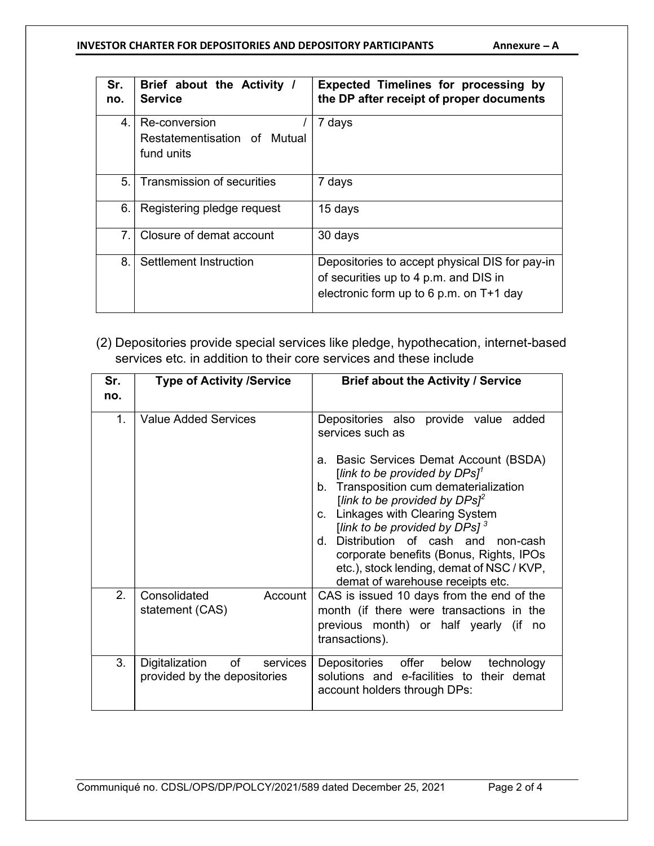#### INVESTOR CHARTER FOR DEPOSITORIES AND DEPOSITORY PARTICIPANTS Annexure - A

| Sr.<br>no. | Brief about the Activity /<br><b>Service</b> | <b>Expected Timelines for processing by</b><br>the DP after receipt of proper documents |
|------------|----------------------------------------------|-----------------------------------------------------------------------------------------|
| 4.         | Re-conversion                                | 7 days                                                                                  |
|            | Restatementisation of Mutual                 |                                                                                         |
|            | fund units                                   |                                                                                         |
| 5.         | <b>Transmission of securities</b>            | 7 days                                                                                  |
| 6.         | Registering pledge request                   | 15 days                                                                                 |
| 7.         | Closure of demat account                     | 30 days                                                                                 |
| 8.         | Settlement Instruction                       | Depositories to accept physical DIS for pay-in                                          |
|            |                                              | of securities up to 4 p.m. and DIS in                                                   |
|            |                                              | electronic form up to $6$ p.m. on T+1 day                                               |

(2) Depositories provide special services like pledge, hypothecation, internet-based services etc. in addition to their core services and these include

| Sr.<br>no. | <b>Type of Activity /Service</b>                                             | <b>Brief about the Activity / Service</b>                                                                                                                                                                                                                                                                                                                                                                                                                         |
|------------|------------------------------------------------------------------------------|-------------------------------------------------------------------------------------------------------------------------------------------------------------------------------------------------------------------------------------------------------------------------------------------------------------------------------------------------------------------------------------------------------------------------------------------------------------------|
| 1.         | <b>Value Added Services</b>                                                  | Depositories also provide value added<br>services such as<br>a. Basic Services Demat Account (BSDA)<br>[link to be provided by $DPSl^1$<br>b. Transposition cum dematerialization<br>[link to be provided by $DPs^2$<br>c. Linkages with Clearing System<br>[link to be provided by DPs] $^3$<br>d. Distribution of cash and non-cash<br>corporate benefits (Bonus, Rights, IPOs<br>etc.), stock lending, demat of NSC / KVP,<br>demat of warehouse receipts etc. |
| 2.         | Account<br>Consolidated<br>statement (CAS)                                   | CAS is issued 10 days from the end of the<br>month (if there were transactions in the<br>previous month) or half yearly (if<br>no<br>transactions).                                                                                                                                                                                                                                                                                                               |
| 3.         | of the control<br>Digitalization<br>services<br>provided by the depositories | Depositories offer<br>below<br>technology<br>solutions and e-facilities to their demat<br>account holders through DPs:                                                                                                                                                                                                                                                                                                                                            |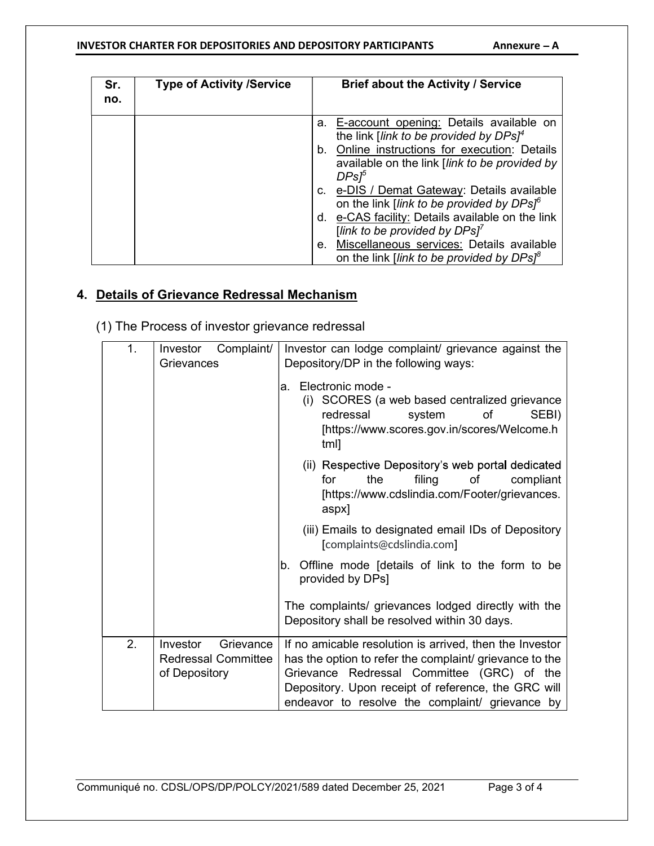#### INVESTOR CHARTER FOR DEPOSITORIES AND DEPOSITORY PARTICIPANTS  $\blacksquare$  Annexure - A

| Sr.<br>no. | <b>Type of Activity /Service</b> | <b>Brief about the Activity / Service</b>                                                                             |
|------------|----------------------------------|-----------------------------------------------------------------------------------------------------------------------|
|            |                                  | E-account opening: Details available on<br>а.<br>the link [link to be provided by DPs] <sup>4</sup>                   |
|            |                                  | Online instructions for execution: Details<br>b.<br>available on the link [link to be provided by<br>DPs <sup>5</sup> |
|            |                                  | c. e-DIS / Demat Gateway: Details available<br>on the link [link to be provided by DPs] <sup>6</sup>                  |
|            |                                  | d. e-CAS facility: Details available on the link<br>[link to be provided by $DPSI^7$                                  |
|            |                                  | Miscellaneous services: Details available<br>е.<br>on the link <i>link to be provided by DPs</i> <sup>8</sup>         |

#### 4. Details of Grievance Redressal Mechanism

(1) The Process of investor grievance redressal

| 1. | Complaint/<br>Investor<br>Grievances | Investor can lodge complaint/ grievance against the                              |  |  |  |
|----|--------------------------------------|----------------------------------------------------------------------------------|--|--|--|
|    |                                      | Depository/DP in the following ways:                                             |  |  |  |
|    |                                      | Electronic mode -<br>a.                                                          |  |  |  |
|    |                                      | SCORES (a web based centralized grievance<br>(i)                                 |  |  |  |
|    |                                      | redressal<br>of<br>SEBI)<br>system                                               |  |  |  |
|    |                                      | [https://www.scores.gov.in/scores/Welcome.h<br>tml]                              |  |  |  |
|    |                                      | (ii) Respective Depository's web portal dedicated                                |  |  |  |
|    |                                      | the<br>filing<br>compliant<br>for<br>οf                                          |  |  |  |
|    |                                      | [https://www.cdslindia.com/Footer/grievances.                                    |  |  |  |
|    |                                      | aspx]                                                                            |  |  |  |
|    |                                      | (iii) Emails to designated email IDs of Depository<br>[complaints@cdslindia.com] |  |  |  |
|    |                                      | Offline mode [details of link to the form to be<br>b.                            |  |  |  |
|    |                                      | provided by DPs]                                                                 |  |  |  |
|    |                                      | The complaints/ grievances lodged directly with the                              |  |  |  |
|    |                                      | Depository shall be resolved within 30 days.                                     |  |  |  |
| 2. | Investor<br>Grievance                | If no amicable resolution is arrived, then the Investor                          |  |  |  |
|    | <b>Redressal Committee</b>           | has the option to refer the complaint/ grievance to the                          |  |  |  |
|    | of Depository                        | Grievance Redressal Committee (GRC) of the                                       |  |  |  |
|    |                                      | Depository. Upon receipt of reference, the GRC will                              |  |  |  |
|    |                                      | endeavor to resolve the complaint/ grievance by                                  |  |  |  |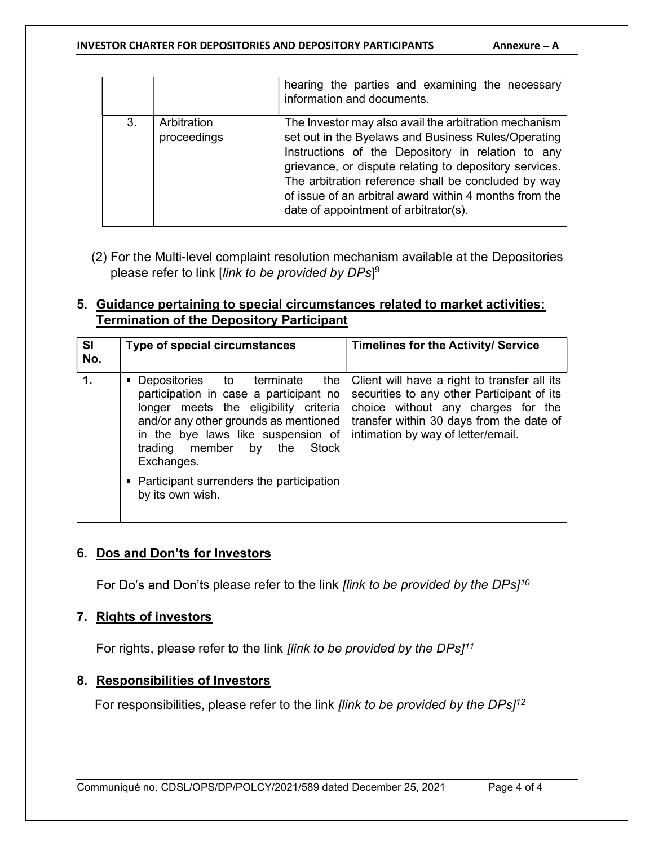#### INVESTOR CHARTER FOR DEPOSITORIES AND DEPOSITORY PARTICIPANTS Annexure - A

|    |                            | hearing the parties and examining the necessary<br>information and documents.                                                                                                                                                                                                                                                                                                         |
|----|----------------------------|---------------------------------------------------------------------------------------------------------------------------------------------------------------------------------------------------------------------------------------------------------------------------------------------------------------------------------------------------------------------------------------|
| 3. | Arbitration<br>proceedings | The Investor may also avail the arbitration mechanism<br>set out in the Byelaws and Business Rules/Operating<br>Instructions of the Depository in relation to any<br>grievance, or dispute relating to depository services.<br>The arbitration reference shall be concluded by way<br>of issue of an arbitral award within 4 months from the<br>date of appointment of arbitrator(s). |

(2) For the Multi-level complaint resolution mechanism available at the Depositories please refer to link [*link to be provided by DPs*] $^9$ 

#### 5. Guidance pertaining to special circumstances related to market activities: Termination of the Depository Participant

| <b>SI</b><br>Type of special circumstances<br><b>Timelines for the Activity/ Service</b><br>No.                                                                                                                                                                                                                                                                                                                                                                                                                                                                        |  |
|------------------------------------------------------------------------------------------------------------------------------------------------------------------------------------------------------------------------------------------------------------------------------------------------------------------------------------------------------------------------------------------------------------------------------------------------------------------------------------------------------------------------------------------------------------------------|--|
| $\mathbf{1}$ .<br>the   Client will have a right to transfer all its<br>■ Depositories to terminate<br>securities to any other Participant of its<br>participation in case a participant no<br>choice without any charges for the<br>longer meets the eligibility criteria<br>transfer within 30 days from the date of<br>and/or any other grounds as mentioned<br>intimation by way of letter/email.<br>in the bye laws like suspension of<br>member<br>trading<br>Stock<br>the<br>by<br>Exchanges.<br>• Participant surrenders the participation<br>by its own wish. |  |

#### 6. Dos and Don'ts for Investors

For Do's and Don'ts please refer to the link *[link to be provided by the DPs]<sup>10</sup>* 

#### 7. Rights of investors

For rights, please refer to the link *[link to be provided by the DPs]<sup>11</sup>* 

#### 8. Responsibilities of Investors

For responsibilities, please refer to the link *[link to be provided by the DPs* $1^{12}$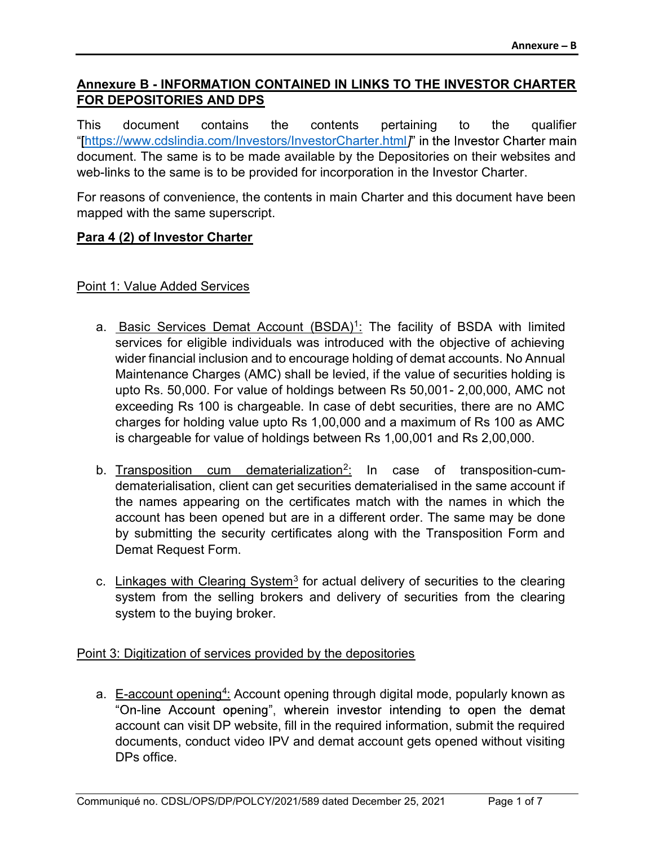#### Annexure B - INFORMATION CONTAINED IN LINKS TO THE INVESTOR CHARTER FOR DEPOSITORIES AND DPS

This document contains the contents pertaining to the qualifier "[https://www.cdslindia.com/Investors/InvestorCharter.html]" in the Investor Charter main document. The same is to be made available by the Depositories on their websites and web-links to the same is to be provided for incorporation in the Investor Charter.

For reasons of convenience, the contents in main Charter and this document have been mapped with the same superscript.

#### Para 4 (2) of Investor Charter

#### Point 1: Value Added Services

- a. **Basic Services Demat Account (BSDA)<sup>1</sup>:** The facility of BSDA with limited services for eligible individuals was introduced with the objective of achieving wider financial inclusion and to encourage holding of demat accounts. No Annual Maintenance Charges (AMC) shall be levied, if the value of securities holding is upto Rs. 50,000. For value of holdings between Rs 50,001- 2,00,000, AMC not exceeding Rs 100 is chargeable. In case of debt securities, there are no AMC charges for holding value upto Rs 1,00,000 and a maximum of Rs 100 as AMC is chargeable for value of holdings between Rs 1,00,001 and Rs 2,00,000.
- b. Transposition cum dematerialization<sup>2</sup>: In case of transposition-cumdematerialisation, client can get securities dematerialised in the same account if the names appearing on the certificates match with the names in which the account has been opened but are in a different order. The same may be done by submitting the security certificates along with the Transposition Form and Demat Request Form.
- c. Linkages with Clearing System<sup>3</sup> for actual delivery of securities to the clearing system from the selling brokers and delivery of securities from the clearing system to the buying broker.

Point 3: Digitization of services provided by the depositories

a. E-account opening<sup>4</sup>: Account opening through digital mode, popularly known as "On-line Account opening", wherein investor intending to open the demat account can visit DP website, fill in the required information, submit the required documents, conduct video IPV and demat account gets opened without visiting DPs office.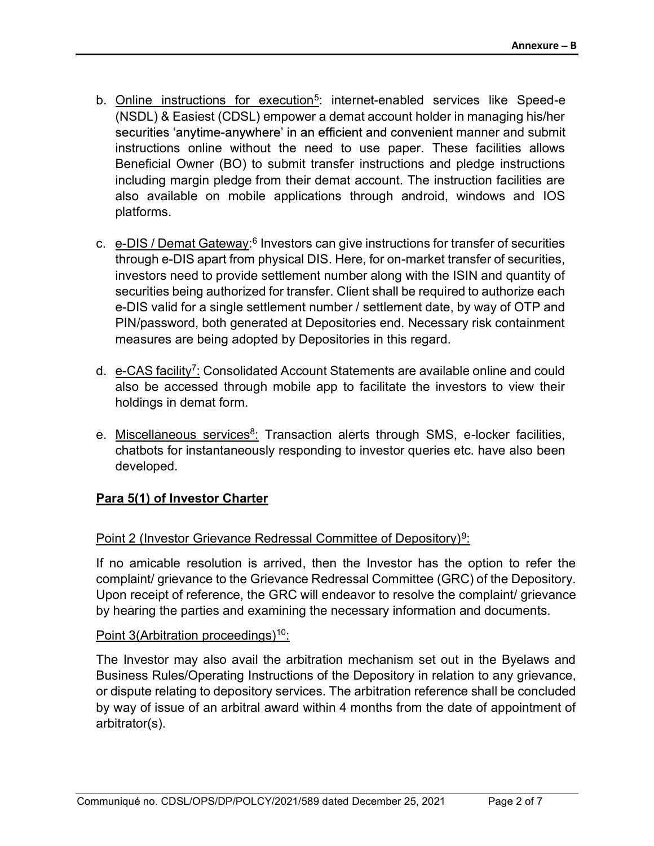- b. Online instructions for execution<sup>5</sup>: internet-enabled services like Speed-e (NSDL) & Easiest (CDSL) empower a demat account holder in managing his/her securities 'anytime-anywhere' in an efficient and convenient manner and submit instructions online without the need to use paper. These facilities allows Beneficial Owner (BO) to submit transfer instructions and pledge instructions including margin pledge from their demat account. The instruction facilities are also available on mobile applications through android, windows and IOS platforms.
- c. e-DIS / Demat Gateway:<sup>6</sup> Investors can give instructions for transfer of securities through e-DIS apart from physical DIS. Here, for on-market transfer of securities, investors need to provide settlement number along with the ISIN and quantity of securities being authorized for transfer. Client shall be required to authorize each e-DIS valid for a single settlement number / settlement date, by way of OTP and PIN/password, both generated at Depositories end. Necessary risk containment measures are being adopted by Depositories in this regard.
- d. e-CAS facility<sup>7</sup>: Consolidated Account Statements are available online and could also be accessed through mobile app to facilitate the investors to view their holdings in demat form.
- e. <u>Miscellaneous services<sup>8</sup>:</u> Transaction alerts through SMS, e-locker facilities, chatbots for instantaneously responding to investor queries etc. have also been developed.

#### Para 5(1) of Investor Charter

#### Point 2 (Investor Grievance Redressal Committee of Depository)<sup>9</sup>:

If no amicable resolution is arrived, then the Investor has the option to refer the complaint/ grievance to the Grievance Redressal Committee (GRC) of the Depository. Upon receipt of reference, the GRC will endeavor to resolve the complaint/ grievance by hearing the parties and examining the necessary information and documents.

#### Point 3(Arbitration proceedings)<sup>10</sup>:

The Investor may also avail the arbitration mechanism set out in the Byelaws and Business Rules/Operating Instructions of the Depository in relation to any grievance, or dispute relating to depository services. The arbitration reference shall be concluded by way of issue of an arbitral award within 4 months from the date of appointment of arbitrator(s).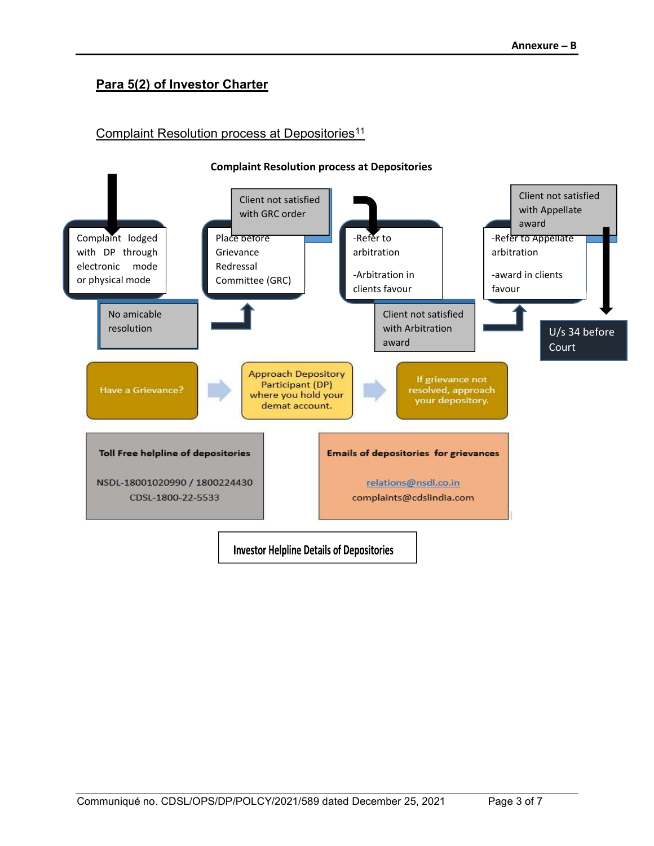### Para 5(2) of Investor Charter

#### Complaint Resolution process at Depositories<sup>11</sup>

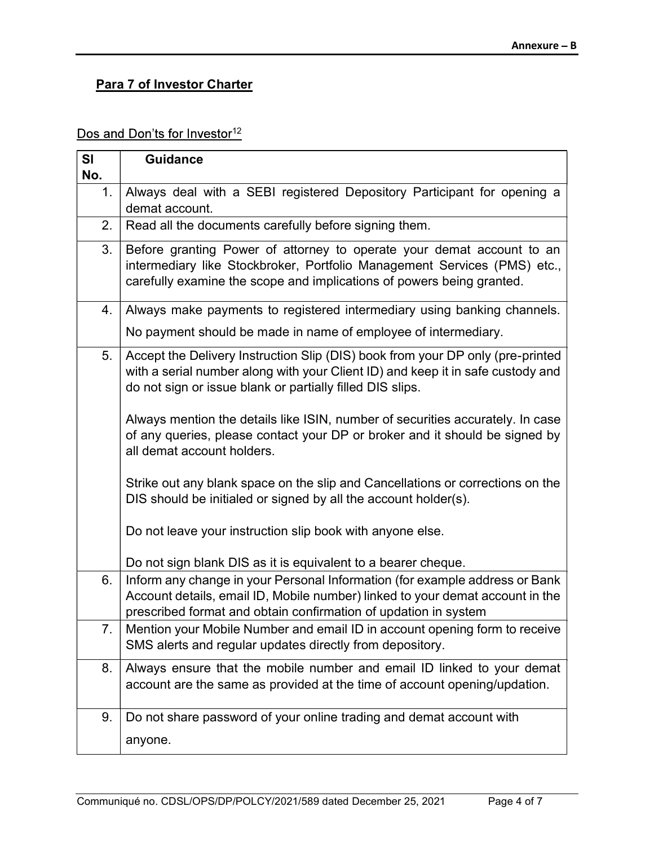## **Para 7 of Investor Charter**

### Dos and Don'ts for Investor<sup>12</sup>

| SI<br>No. | <b>Guidance</b>                                                                                                                                                                                                                 |  |  |  |  |  |
|-----------|---------------------------------------------------------------------------------------------------------------------------------------------------------------------------------------------------------------------------------|--|--|--|--|--|
| 1.        | Always deal with a SEBI registered Depository Participant for opening a<br>demat account.                                                                                                                                       |  |  |  |  |  |
| 2.        | Read all the documents carefully before signing them.                                                                                                                                                                           |  |  |  |  |  |
| 3.        | Before granting Power of attorney to operate your demat account to an<br>intermediary like Stockbroker, Portfolio Management Services (PMS) etc.,<br>carefully examine the scope and implications of powers being granted.      |  |  |  |  |  |
| 4.        | Always make payments to registered intermediary using banking channels.                                                                                                                                                         |  |  |  |  |  |
|           | No payment should be made in name of employee of intermediary.                                                                                                                                                                  |  |  |  |  |  |
| 5.        | Accept the Delivery Instruction Slip (DIS) book from your DP only (pre-printed<br>with a serial number along with your Client ID) and keep it in safe custody and<br>do not sign or issue blank or partially filled DIS slips.  |  |  |  |  |  |
|           | Always mention the details like ISIN, number of securities accurately. In case<br>of any queries, please contact your DP or broker and it should be signed by<br>all demat account holders.                                     |  |  |  |  |  |
|           | Strike out any blank space on the slip and Cancellations or corrections on the<br>DIS should be initialed or signed by all the account holder(s).                                                                               |  |  |  |  |  |
|           | Do not leave your instruction slip book with anyone else.                                                                                                                                                                       |  |  |  |  |  |
|           | Do not sign blank DIS as it is equivalent to a bearer cheque.                                                                                                                                                                   |  |  |  |  |  |
| 6.        | Inform any change in your Personal Information (for example address or Bank<br>Account details, email ID, Mobile number) linked to your demat account in the<br>prescribed format and obtain confirmation of updation in system |  |  |  |  |  |
| 7.        | Mention your Mobile Number and email ID in account opening form to receive<br>SMS alerts and regular updates directly from depository.                                                                                          |  |  |  |  |  |
| 8.        | Always ensure that the mobile number and email ID linked to your demat<br>account are the same as provided at the time of account opening/updation.                                                                             |  |  |  |  |  |
| 9.        | Do not share password of your online trading and demat account with                                                                                                                                                             |  |  |  |  |  |
|           | anyone.                                                                                                                                                                                                                         |  |  |  |  |  |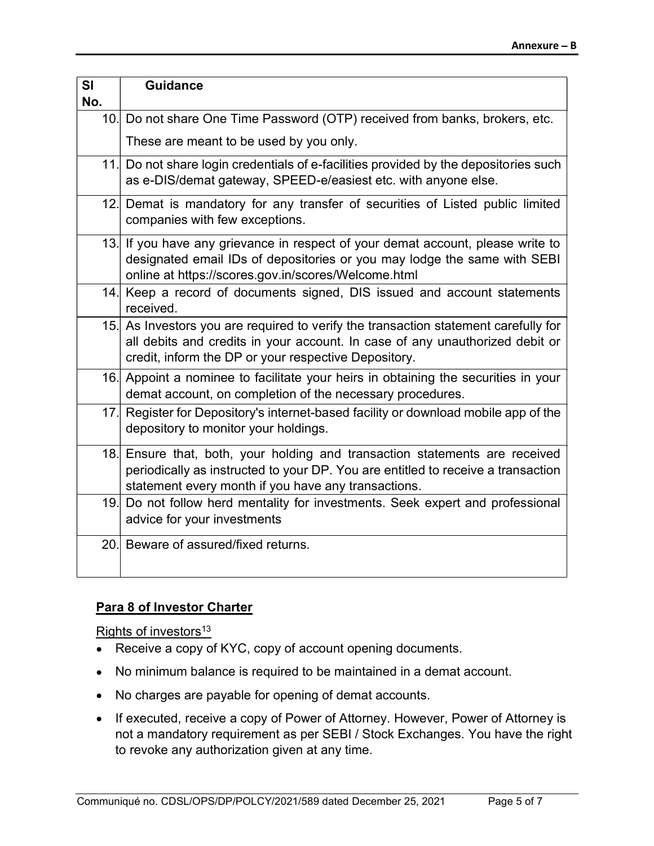| SI<br>No. | <b>Guidance</b>                                                                                                                                                                                                             |
|-----------|-----------------------------------------------------------------------------------------------------------------------------------------------------------------------------------------------------------------------------|
|           | 10. Do not share One Time Password (OTP) received from banks, brokers, etc.                                                                                                                                                 |
|           | These are meant to be used by you only.                                                                                                                                                                                     |
|           | 11. Do not share login credentials of e-facilities provided by the depositories such<br>as e-DIS/demat gateway, SPEED-e/easiest etc. with anyone else.                                                                      |
|           | 12. Demat is mandatory for any transfer of securities of Listed public limited<br>companies with few exceptions.                                                                                                            |
|           | 13. If you have any grievance in respect of your demat account, please write to<br>designated email IDs of depositories or you may lodge the same with SEBI<br>online at https://scores.gov.in/scores/Welcome.html          |
|           | 14. Keep a record of documents signed, DIS issued and account statements<br>received.                                                                                                                                       |
|           | 15. As Investors you are required to verify the transaction statement carefully for<br>all debits and credits in your account. In case of any unauthorized debit or<br>credit, inform the DP or your respective Depository. |
|           | 16. Appoint a nominee to facilitate your heirs in obtaining the securities in your<br>demat account, on completion of the necessary procedures.                                                                             |
|           | 17. Register for Depository's internet-based facility or download mobile app of the<br>depository to monitor your holdings.                                                                                                 |
|           | 18. Ensure that, both, your holding and transaction statements are received<br>periodically as instructed to your DP. You are entitled to receive a transaction<br>statement every month if you have any transactions.      |
|           | 19. Do not follow herd mentality for investments. Seek expert and professional<br>advice for your investments                                                                                                               |
|           | 20. Beware of assured/fixed returns.                                                                                                                                                                                        |

#### Para 8 of Investor Charter

Rights of investors<sup>13</sup>

- Receive a copy of KYC, copy of account opening documents.
- No minimum balance is required to be maintained in a demat account.
- No charges are payable for opening of demat accounts.
- If executed, receive a copy of Power of Attorney. However, Power of Attorney is not a mandatory requirement as per SEBI / Stock Exchanges. You have the right to revoke any authorization given at any time.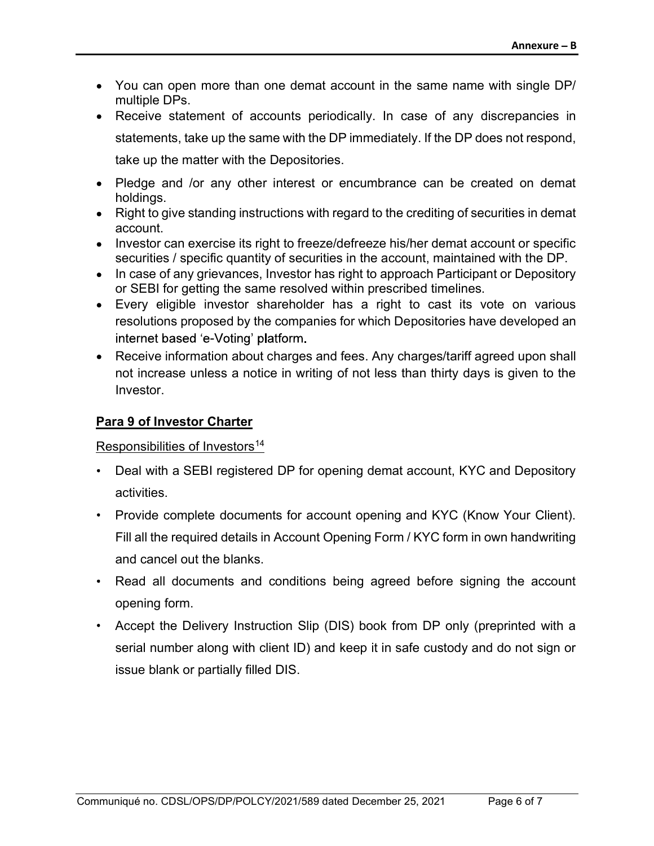- You can open more than one demat account in the same name with single DP/ multiple DPs.
- Receive statement of accounts periodically. In case of any discrepancies in statements, take up the same with the DP immediately. If the DP does not respond, take up the matter with the Depositories.
- Pledge and /or any other interest or encumbrance can be created on demat holdings.
- Right to give standing instructions with regard to the crediting of securities in demat account.
- Investor can exercise its right to freeze/defreeze his/her demat account or specific securities / specific quantity of securities in the account, maintained with the DP.
- In case of any grievances, Investor has right to approach Participant or Depository or SEBI for getting the same resolved within prescribed timelines.
- Every eligible investor shareholder has a right to cast its vote on various resolutions proposed by the companies for which Depositories have developed an internet based 'e-Voting' platform.
- Receive information about charges and fees. Any charges/tariff agreed upon shall not increase unless a notice in writing of not less than thirty days is given to the Investor.

#### Para 9 of Investor Charter

Responsibilities of Investors<sup>14</sup>

- Deal with a SEBI registered DP for opening demat account, KYC and Depository activities.
- Provide complete documents for account opening and KYC (Know Your Client). Fill all the required details in Account Opening Form / KYC form in own handwriting and cancel out the blanks.
- Read all documents and conditions being agreed before signing the account opening form.
- Accept the Delivery Instruction Slip (DIS) book from DP only (preprinted with a serial number along with client ID) and keep it in safe custody and do not sign or issue blank or partially filled DIS.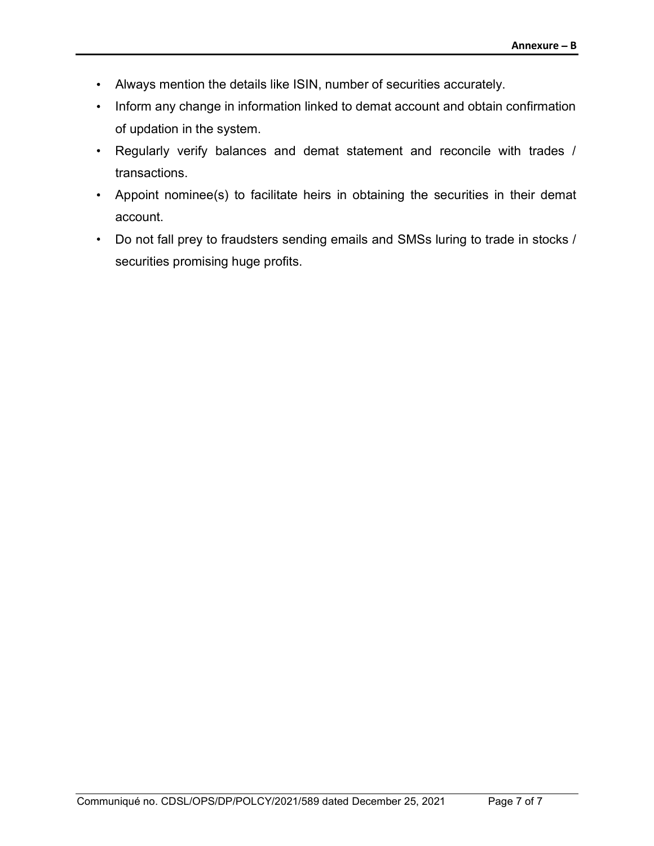- Always mention the details like ISIN, number of securities accurately.
- Inform any change in information linked to demat account and obtain confirmation of updation in the system.
- Regularly verify balances and demat statement and reconcile with trades / transactions.
- Appoint nominee(s) to facilitate heirs in obtaining the securities in their demat account.
- Do not fall prey to fraudsters sending emails and SMSs luring to trade in stocks / securities promising huge profits.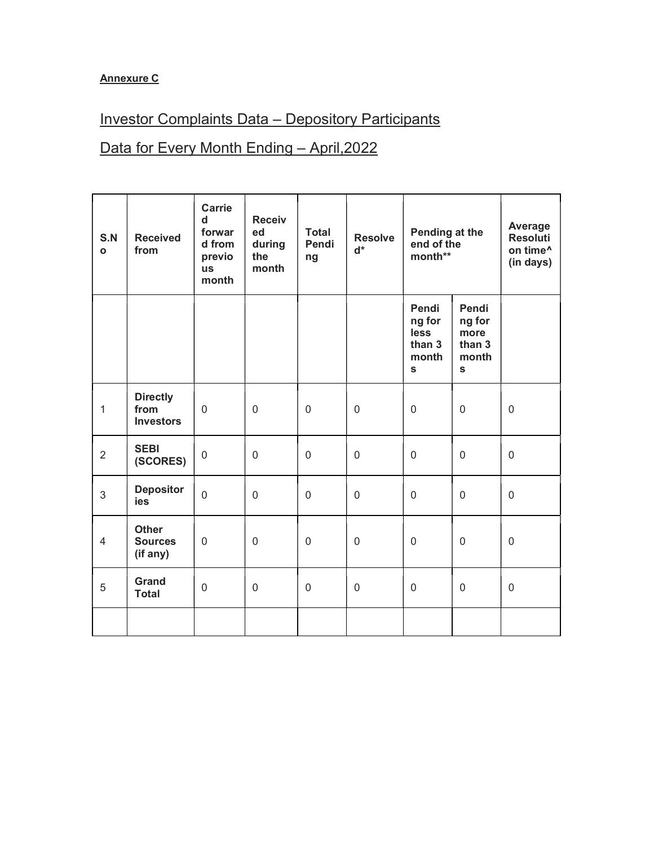#### Annexure C

## Investor Complaints Data – Depository Participants

## Data for Every Month Ending - April, 2022

| S.N<br>$\mathbf{o}$ | <b>Received</b><br>from                     | <b>Carrie</b><br>d<br>forwar<br>d from<br>previo<br><b>us</b><br>month | <b>Receiv</b><br>ed<br>during<br>the<br>month | <b>Total</b><br>Pendi<br>ng | <b>Resolve</b><br>$d^*$ | Pending at the<br>end of the<br>month**                    |                                                           | Average<br><b>Resoluti</b><br>on time <sup>^</sup><br>(in days) |
|---------------------|---------------------------------------------|------------------------------------------------------------------------|-----------------------------------------------|-----------------------------|-------------------------|------------------------------------------------------------|-----------------------------------------------------------|-----------------------------------------------------------------|
|                     |                                             |                                                                        |                                               |                             |                         | Pendi<br>ng for<br>less<br>than 3<br>month<br>$\mathbf{s}$ | Pendi<br>ng for<br>more<br>than 3<br>month<br>$\mathbf s$ |                                                                 |
| 1                   | <b>Directly</b><br>from<br><b>Investors</b> | $\mathbf 0$                                                            | $\mathbf 0$                                   | $\mathbf 0$                 | $\mathbf 0$             | $\mathbf 0$                                                | $\mathbf 0$                                               | $\mathbf{0}$                                                    |
| $\overline{2}$      | <b>SEBI</b><br>(SCORES)                     | $\boldsymbol{0}$                                                       | 0                                             | 0                           | $\mathbf 0$             | $\mathbf 0$                                                | $\mathbf 0$                                               | $\mathbf 0$                                                     |
| $\mathfrak{S}$      | <b>Depositor</b><br>ies                     | $\mathbf 0$                                                            | $\mathbf 0$                                   | $\mathbf 0$                 | $\mathbf 0$             | $\mathbf 0$                                                | $\boldsymbol{0}$                                          | $\overline{0}$                                                  |
| $\overline{4}$      | <b>Other</b><br><b>Sources</b><br>(if any)  | $\mathbf 0$                                                            | $\mathbf 0$                                   | $\mathbf 0$                 | $\mathbf 0$             | $\mathbf 0$                                                | $\mathbf 0$                                               | $\mathbf 0$                                                     |
| 5                   | Grand<br><b>Total</b>                       | $\boldsymbol{0}$                                                       | $\boldsymbol{0}$                              | $\mathbf 0$                 | $\boldsymbol{0}$        | $\mathbf 0$                                                | $\mathbf 0$                                               | $\mathbf 0$                                                     |
|                     |                                             |                                                                        |                                               |                             |                         |                                                            |                                                           |                                                                 |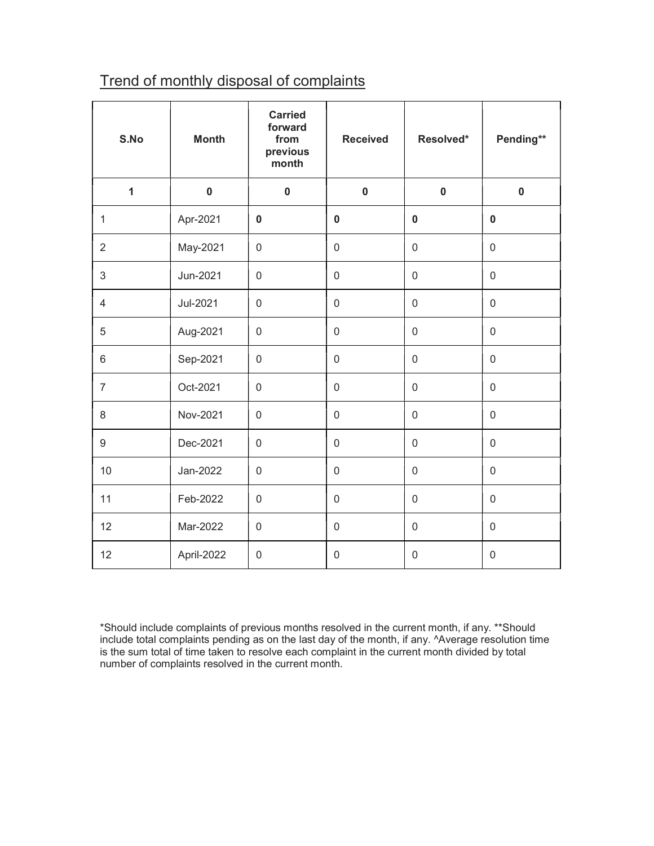## Trend of monthly disposal of complaints

| S.No           | <b>Month</b> | <b>Carried</b><br>forward<br>from<br>previous<br>month | <b>Received</b>     | Resolved*           | Pending**        |
|----------------|--------------|--------------------------------------------------------|---------------------|---------------------|------------------|
| $\mathbf{1}$   | $\mathbf 0$  | $\mathbf 0$                                            | $\mathbf 0$         | $\pmb{0}$           | $\mathbf 0$      |
| $\mathbf{1}$   | Apr-2021     | $\mathbf 0$                                            | $\mathbf 0$         | $\mathbf 0$         | $\mathbf 0$      |
| $\overline{2}$ | May-2021     | $\boldsymbol{0}$                                       | $\mathsf 0$         | $\mathbf 0$         | $\mathbf 0$      |
| 3              | Jun-2021     | $\mathsf{O}\xspace$                                    | $\mathsf{O}\xspace$ | $\mathsf 0$         | $\mathsf 0$      |
| $\overline{4}$ | Jul-2021     | $\boldsymbol{0}$                                       | $\boldsymbol{0}$    | $\mathsf 0$         | $\mathsf 0$      |
| 5              | Aug-2021     | $\boldsymbol{0}$                                       | $\boldsymbol{0}$    | $\boldsymbol{0}$    | $\boldsymbol{0}$ |
| 6              | Sep-2021     | $\mathbf 0$                                            | 0                   | $\mathbf 0$         | 0                |
| $\overline{7}$ | Oct-2021     | $\mathsf 0$                                            | $\boldsymbol{0}$    | $\mathsf 0$         | $\boldsymbol{0}$ |
| 8              | Nov-2021     | $\mathbf 0$                                            | $\boldsymbol{0}$    | $\mathsf 0$         | $\mathsf 0$      |
| 9              | Dec-2021     | $\mathbf 0$                                            | $\boldsymbol{0}$    | $\mathsf 0$         | $\mathsf 0$      |
| 10             | Jan-2022     | $\mathsf 0$                                            | $\boldsymbol{0}$    | $\boldsymbol{0}$    | $\boldsymbol{0}$ |
| 11             | Feb-2022     | $\mathbf 0$                                            | $\mathbf 0$         | $\mathbf 0$         | $\mathbf 0$      |
| 12             | Mar-2022     | $\boldsymbol{0}$                                       | $\boldsymbol{0}$    | $\mathbf 0$         | $\mathbf 0$      |
| 12             | April-2022   | $\mathbf 0$                                            | $\mathsf 0$         | $\mathsf{O}\xspace$ | $\mathbf 0$      |

\*Should include complaints of previous months resolved in the current month, if any. \*\*Should include total complaints pending as on the last day of the month, if any. ^Average resolution time is the sum total of time taken to resolve each complaint in the current month divided by total number of complaints resolved in the current month.